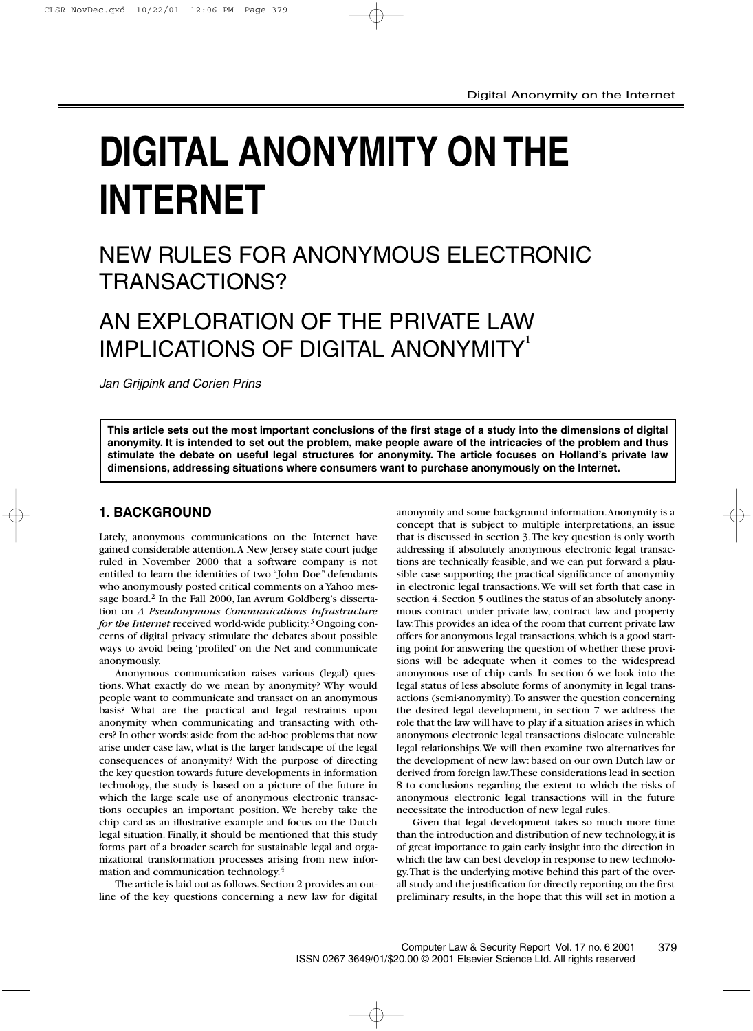# **DIGITAL ANONYMITY ON THE INTERNET**

# NEW RULES FOR ANONYMOUS ELECTRONIC TRANSACTIONS?

# AN EXPLORATION OF THE PRIVATE LAW IMPLICATIONS OF DIGITAL ANONYMITY<sup>1</sup>

Jan Grijpink and Corien Prins

**This article sets out the most important conclusions of the first stage of a study into the dimensions of digital anonymity. It is intended to set out the problem, make people aware of the intricacies of the problem and thus stimulate the debate on useful legal structures for anonymity. The article focuses on Holland's private law dimensions, addressing situations where consumers want to purchase anonymously on the Internet.**

# **1. BACKGROUND**

Lately, anonymous communications on the Internet have gained considerable attention.A New Jersey state court judge ruled in November 2000 that a software company is not entitled to learn the identities of two "John Doe" defendants who anonymously posted critical comments on a Yahoo message board.<sup>2</sup> In the Fall 2000, Ian Avrum Goldberg's dissertation on *A Pseudonymous Communications Infrastructure for the Internet* received world-wide publicity.<sup>3</sup> Ongoing concerns of digital privacy stimulate the debates about possible ways to avoid being 'profiled' on the Net and communicate anonymously.

Anonymous communication raises various (legal) questions. What exactly do we mean by anonymity? Why would people want to communicate and transact on an anonymous basis? What are the practical and legal restraints upon anonymity when communicating and transacting with others? In other words:aside from the ad-hoc problems that now arise under case law, what is the larger landscape of the legal consequences of anonymity? With the purpose of directing the key question towards future developments in information technology, the study is based on a picture of the future in which the large scale use of anonymous electronic transactions occupies an important position. We hereby take the chip card as an illustrative example and focus on the Dutch legal situation. Finally, it should be mentioned that this study forms part of a broader search for sustainable legal and organizational transformation processes arising from new information and communication technology.4

The article is laid out as follows.Section 2 provides an outline of the key questions concerning a new law for digital anonymity and some background information.Anonymity is a concept that is subject to multiple interpretations, an issue that is discussed in section 3.The key question is only worth addressing if absolutely anonymous electronic legal transactions are technically feasible, and we can put forward a plausible case supporting the practical significance of anonymity in electronic legal transactions.We will set forth that case in section 4. Section 5 outlines the status of an absolutely anonymous contract under private law, contract law and property law.This provides an idea of the room that current private law offers for anonymous legal transactions,which is a good starting point for answering the question of whether these provisions will be adequate when it comes to the widespread anonymous use of chip cards. In section 6 we look into the legal status of less absolute forms of anonymity in legal transactions (semi-anonymity).To answer the question concerning the desired legal development, in section 7 we address the role that the law will have to play if a situation arises in which anonymous electronic legal transactions dislocate vulnerable legal relationships.We will then examine two alternatives for the development of new law:based on our own Dutch law or derived from foreign law.These considerations lead in section 8 to conclusions regarding the extent to which the risks of anonymous electronic legal transactions will in the future necessitate the introduction of new legal rules.

Given that legal development takes so much more time than the introduction and distribution of new technology,it is of great importance to gain early insight into the direction in which the law can best develop in response to new technology.That is the underlying motive behind this part of the overall study and the justification for directly reporting on the first preliminary results, in the hope that this will set in motion a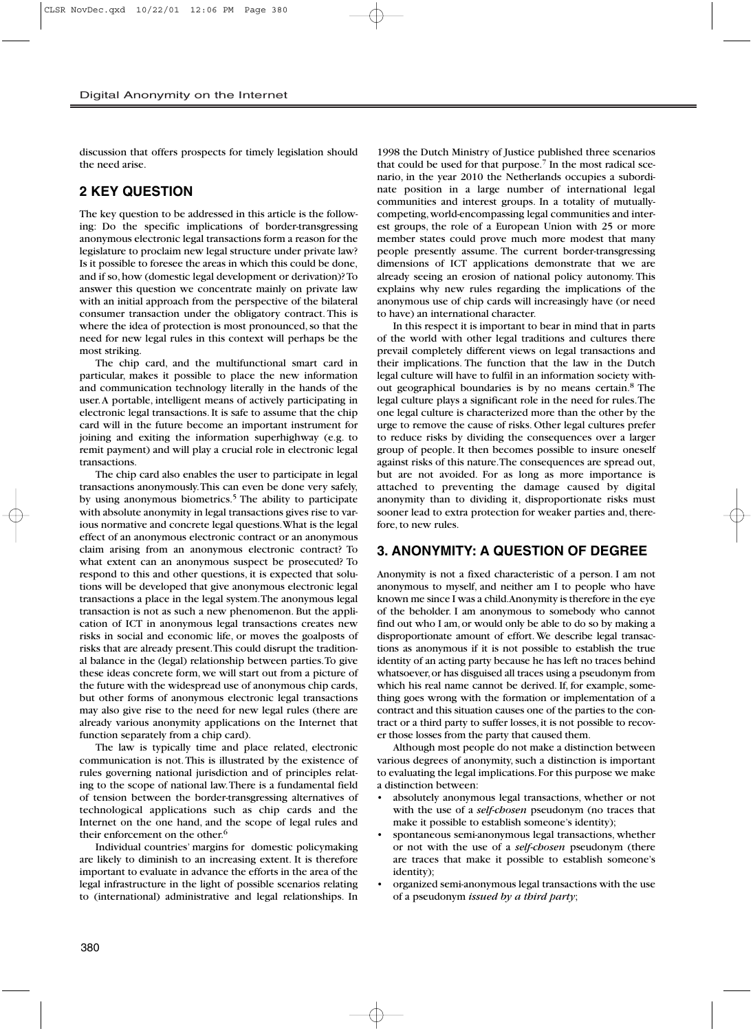discussion that offers prospects for timely legislation should the need arise.

# **2 KEY QUESTION**

The key question to be addressed in this article is the following: Do the specific implications of border-transgressing anonymous electronic legal transactions form a reason for the legislature to proclaim new legal structure under private law? Is it possible to foresee the areas in which this could be done, and if so,how (domestic legal development or derivation)? To answer this question we concentrate mainly on private law with an initial approach from the perspective of the bilateral consumer transaction under the obligatory contract. This is where the idea of protection is most pronounced, so that the need for new legal rules in this context will perhaps be the most striking.

The chip card, and the multifunctional smart card in particular, makes it possible to place the new information and communication technology literally in the hands of the user.A portable, intelligent means of actively participating in electronic legal transactions. It is safe to assume that the chip card will in the future become an important instrument for joining and exiting the information superhighway (e.g. to remit payment) and will play a crucial role in electronic legal transactions.

The chip card also enables the user to participate in legal transactions anonymously.This can even be done very safely, by using anonymous biometrics.<sup>5</sup> The ability to participate with absolute anonymity in legal transactions gives rise to various normative and concrete legal questions.What is the legal effect of an anonymous electronic contract or an anonymous claim arising from an anonymous electronic contract? To what extent can an anonymous suspect be prosecuted? To respond to this and other questions, it is expected that solutions will be developed that give anonymous electronic legal transactions a place in the legal system.The anonymous legal transaction is not as such a new phenomenon. But the application of ICT in anonymous legal transactions creates new risks in social and economic life, or moves the goalposts of risks that are already present.This could disrupt the traditional balance in the (legal) relationship between parties.To give these ideas concrete form, we will start out from a picture of the future with the widespread use of anonymous chip cards, but other forms of anonymous electronic legal transactions may also give rise to the need for new legal rules (there are already various anonymity applications on the Internet that function separately from a chip card).

The law is typically time and place related, electronic communication is not.This is illustrated by the existence of rules governing national jurisdiction and of principles relating to the scope of national law.There is a fundamental field of tension between the border-transgressing alternatives of technological applications such as chip cards and the Internet on the one hand, and the scope of legal rules and their enforcement on the other.<sup>6</sup>

Individual countries' margins for domestic policymaking are likely to diminish to an increasing extent. It is therefore important to evaluate in advance the efforts in the area of the legal infrastructure in the light of possible scenarios relating to (international) administrative and legal relationships. In 1998 the Dutch Ministry of Justice published three scenarios that could be used for that purpose.<sup>7</sup> In the most radical scenario, in the year 2010 the Netherlands occupies a subordinate position in a large number of international legal communities and interest groups. In a totality of mutuallycompeting,world-encompassing legal communities and interest groups, the role of a European Union with 25 or more member states could prove much more modest that many people presently assume. The current border-transgressing dimensions of ICT applications demonstrate that we are already seeing an erosion of national policy autonomy. This explains why new rules regarding the implications of the anonymous use of chip cards will increasingly have (or need to have) an international character.

In this respect it is important to bear in mind that in parts of the world with other legal traditions and cultures there prevail completely different views on legal transactions and their implications. The function that the law in the Dutch legal culture will have to fulfil in an information society without geographical boundaries is by no means certain.8 The legal culture plays a significant role in the need for rules.The one legal culture is characterized more than the other by the urge to remove the cause of risks. Other legal cultures prefer to reduce risks by dividing the consequences over a larger group of people. It then becomes possible to insure oneself against risks of this nature.The consequences are spread out, but are not avoided. For as long as more importance is attached to preventing the damage caused by digital anonymity than to dividing it, disproportionate risks must sooner lead to extra protection for weaker parties and, therefore, to new rules.

# **3. ANONYMITY: A QUESTION OF DEGREE**

Anonymity is not a fixed characteristic of a person. I am not anonymous to myself, and neither am I to people who have known me since I was a child.Anonymity is therefore in the eye of the beholder. I am anonymous to somebody who cannot find out who I am, or would only be able to do so by making a disproportionate amount of effort. We describe legal transactions as anonymous if it is not possible to establish the true identity of an acting party because he has left no traces behind whatsoever,or has disguised all traces using a pseudonym from which his real name cannot be derived. If, for example, something goes wrong with the formation or implementation of a contract and this situation causes one of the parties to the contract or a third party to suffer losses, it is not possible to recover those losses from the party that caused them.

Although most people do not make a distinction between various degrees of anonymity, such a distinction is important to evaluating the legal implications.For this purpose we make a distinction between:

- absolutely anonymous legal transactions, whether or not with the use of a *self-chosen* pseudonym (no traces that make it possible to establish someone's identity);
- spontaneous semi-anonymous legal transactions, whether or not with the use of a *self-chosen* pseudonym (there are traces that make it possible to establish someone's identity);
- organized semi-anonymous legal transactions with the use of a pseudonym *issued by a third party*;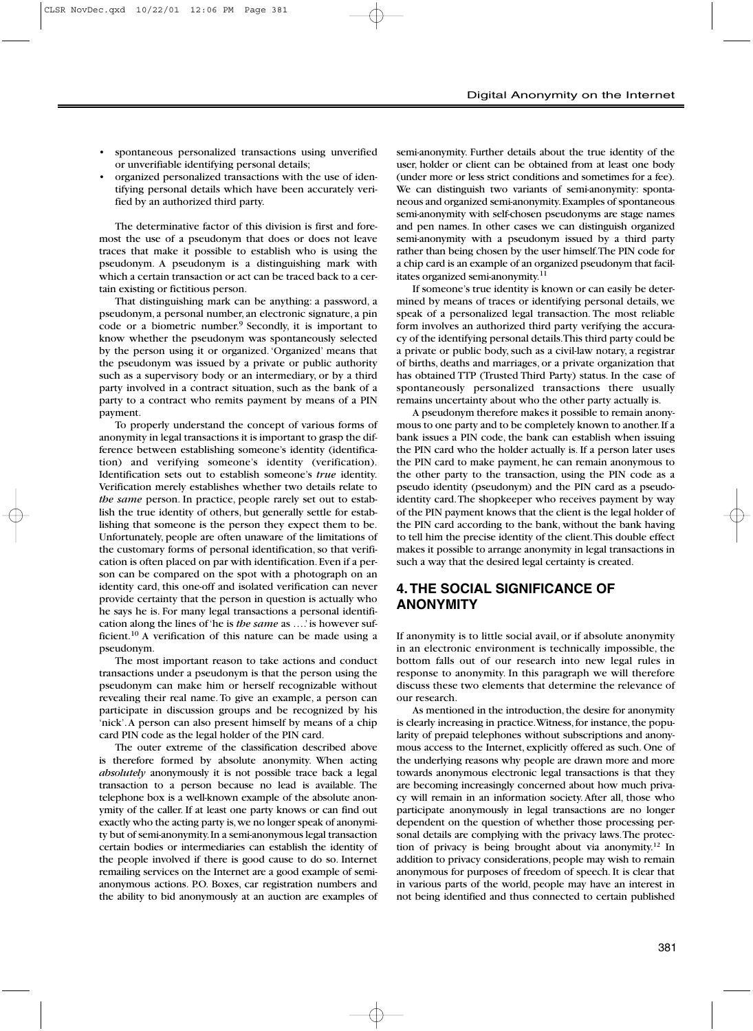- spontaneous personalized transactions using unverified or unverifiable identifying personal details;
- organized personalized transactions with the use of identifying personal details which have been accurately verified by an authorized third party.

The determinative factor of this division is first and foremost the use of a pseudonym that does or does not leave traces that make it possible to establish who is using the pseudonym. A pseudonym is a distinguishing mark with which a certain transaction or act can be traced back to a certain existing or fictitious person.

That distinguishing mark can be anything: a password, a pseudonym, a personal number, an electronic signature, a pin code or a biometric number.9 Secondly, it is important to know whether the pseudonym was spontaneously selected by the person using it or organized. 'Organized' means that the pseudonym was issued by a private or public authority such as a supervisory body or an intermediary, or by a third party involved in a contract situation, such as the bank of a party to a contract who remits payment by means of a PIN payment.

To properly understand the concept of various forms of anonymity in legal transactions it is important to grasp the difference between establishing someone's identity (identification) and verifying someone's identity (verification). Identification sets out to establish someone's *true* identity. Verification merely establishes whether two details relate to *the same* person. In practice, people rarely set out to establish the true identity of others, but generally settle for establishing that someone is the person they expect them to be. Unfortunately, people are often unaware of the limitations of the customary forms of personal identification, so that verification is often placed on par with identification.Even if a person can be compared on the spot with a photograph on an identity card, this one-off and isolated verification can never provide certainty that the person in question is actually who he says he is. For many legal transactions a personal identification along the lines of 'he is *the same* as ….' is however sufficient.10 A verification of this nature can be made using a pseudonym.

The most important reason to take actions and conduct transactions under a pseudonym is that the person using the pseudonym can make him or herself recognizable without revealing their real name.To give an example, a person can participate in discussion groups and be recognized by his 'nick'.A person can also present himself by means of a chip card PIN code as the legal holder of the PIN card.

The outer extreme of the classification described above is therefore formed by absolute anonymity. When acting *absolutely* anonymously it is not possible trace back a legal transaction to a person because no lead is available. The telephone box is a well-known example of the absolute anonymity of the caller. If at least one party knows or can find out exactly who the acting party is,we no longer speak of anonymity but of semi-anonymity.In a semi-anonymous legal transaction certain bodies or intermediaries can establish the identity of the people involved if there is good cause to do so. Internet remailing services on the Internet are a good example of semianonymous actions. P.O. Boxes, car registration numbers and the ability to bid anonymously at an auction are examples of

semi-anonymity. Further details about the true identity of the user, holder or client can be obtained from at least one body (under more or less strict conditions and sometimes for a fee). We can distinguish two variants of semi-anonymity: spontaneous and organized semi-anonymity.Examples of spontaneous semi-anonymity with self-chosen pseudonyms are stage names and pen names. In other cases we can distinguish organized semi-anonymity with a pseudonym issued by a third party rather than being chosen by the user himself.The PIN code for a chip card is an example of an organized pseudonym that facilitates organized semi-anonymity. $11$ 

If someone's true identity is known or can easily be determined by means of traces or identifying personal details, we speak of a personalized legal transaction. The most reliable form involves an authorized third party verifying the accuracy of the identifying personal details.This third party could be a private or public body, such as a civil-law notary, a registrar of births, deaths and marriages, or a private organization that has obtained TTP (Trusted Third Party) status. In the case of spontaneously personalized transactions there usually remains uncertainty about who the other party actually is.

A pseudonym therefore makes it possible to remain anonymous to one party and to be completely known to another.If a bank issues a PIN code, the bank can establish when issuing the PIN card who the holder actually is. If a person later uses the PIN card to make payment, he can remain anonymous to the other party to the transaction, using the PIN code as a pseudo identity (pseudonym) and the PIN card as a pseudoidentity card.The shopkeeper who receives payment by way of the PIN payment knows that the client is the legal holder of the PIN card according to the bank, without the bank having to tell him the precise identity of the client.This double effect makes it possible to arrange anonymity in legal transactions in such a way that the desired legal certainty is created.

# **4.THE SOCIAL SIGNIFICANCE OF ANONYMITY**

If anonymity is to little social avail, or if absolute anonymity in an electronic environment is technically impossible, the bottom falls out of our research into new legal rules in response to anonymity. In this paragraph we will therefore discuss these two elements that determine the relevance of our research.

As mentioned in the introduction, the desire for anonymity is clearly increasing in practice. Witness, for instance, the popularity of prepaid telephones without subscriptions and anonymous access to the Internet, explicitly offered as such. One of the underlying reasons why people are drawn more and more towards anonymous electronic legal transactions is that they are becoming increasingly concerned about how much privacy will remain in an information society. After all, those who participate anonymously in legal transactions are no longer dependent on the question of whether those processing personal details are complying with the privacy laws.The protection of privacy is being brought about via anonymity.12 In addition to privacy considerations, people may wish to remain anonymous for purposes of freedom of speech. It is clear that in various parts of the world, people may have an interest in not being identified and thus connected to certain published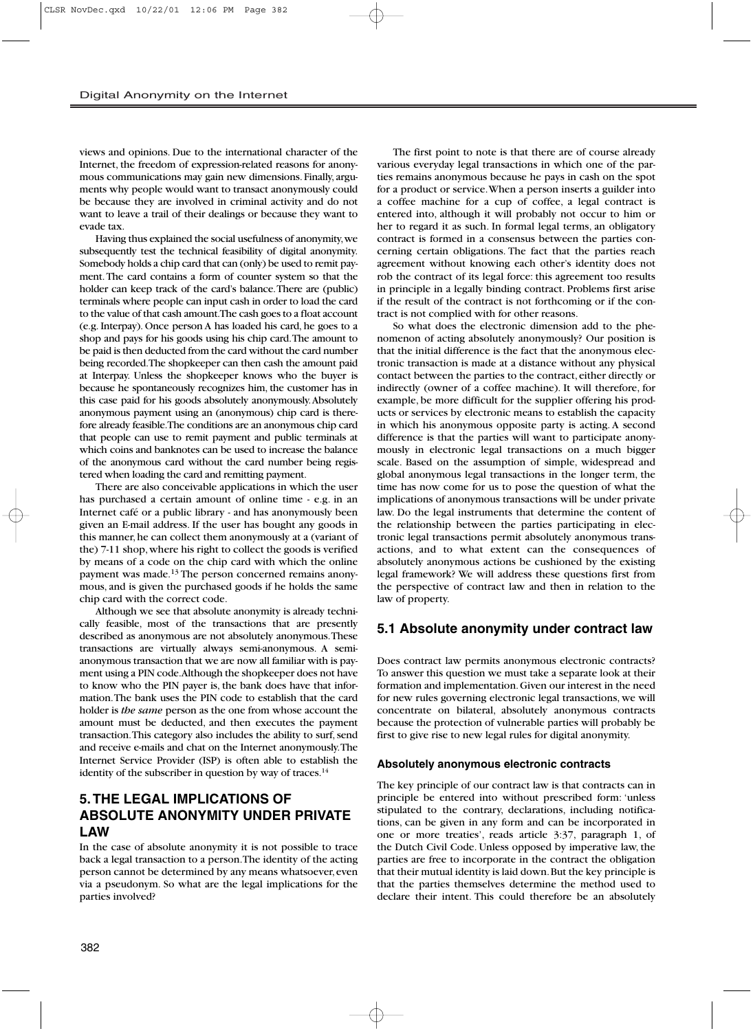views and opinions. Due to the international character of the Internet, the freedom of expression-related reasons for anonymous communications may gain new dimensions. Finally, arguments why people would want to transact anonymously could be because they are involved in criminal activity and do not want to leave a trail of their dealings or because they want to evade tax.

Having thus explained the social usefulness of anonymity,we subsequently test the technical feasibility of digital anonymity. Somebody holds a chip card that can (only) be used to remit payment.The card contains a form of counter system so that the holder can keep track of the card's balance.There are (public) terminals where people can input cash in order to load the card to the value of that cash amount.The cash goes to a float account (e.g. Interpay). Once person A has loaded his card, he goes to a shop and pays for his goods using his chip card.The amount to be paid is then deducted from the card without the card number being recorded.The shopkeeper can then cash the amount paid at Interpay. Unless the shopkeeper knows who the buyer is because he spontaneously recognizes him, the customer has in this case paid for his goods absolutely anonymously.Absolutely anonymous payment using an (anonymous) chip card is therefore already feasible.The conditions are an anonymous chip card that people can use to remit payment and public terminals at which coins and banknotes can be used to increase the balance of the anonymous card without the card number being registered when loading the card and remitting payment.

There are also conceivable applications in which the user has purchased a certain amount of online time - e.g. in an Internet café or a public library - and has anonymously been given an E-mail address. If the user has bought any goods in this manner, he can collect them anonymously at a (variant of the) 7-11 shop,where his right to collect the goods is verified by means of a code on the chip card with which the online payment was made.<sup>13</sup> The person concerned remains anonymous, and is given the purchased goods if he holds the same chip card with the correct code.

Although we see that absolute anonymity is already technically feasible, most of the transactions that are presently described as anonymous are not absolutely anonymous.These transactions are virtually always semi-anonymous. A semianonymous transaction that we are now all familiar with is payment using a PIN code.Although the shopkeeper does not have to know who the PIN payer is, the bank does have that information.The bank uses the PIN code to establish that the card holder is *the same* person as the one from whose account the amount must be deducted, and then executes the payment transaction.This category also includes the ability to surf, send and receive e-mails and chat on the Internet anonymously.The Internet Service Provider (ISP) is often able to establish the identity of the subscriber in question by way of traces.<sup>14</sup>

# **5.THE LEGAL IMPLICATIONS OF ABSOLUTE ANONYMITY UNDER PRIVATE LAW**

In the case of absolute anonymity it is not possible to trace back a legal transaction to a person.The identity of the acting person cannot be determined by any means whatsoever, even via a pseudonym. So what are the legal implications for the parties involved?

The first point to note is that there are of course already various everyday legal transactions in which one of the parties remains anonymous because he pays in cash on the spot for a product or service.When a person inserts a guilder into a coffee machine for a cup of coffee, a legal contract is entered into, although it will probably not occur to him or her to regard it as such. In formal legal terms, an obligatory contract is formed in a consensus between the parties concerning certain obligations. The fact that the parties reach agreement without knowing each other's identity does not rob the contract of its legal force: this agreement too results in principle in a legally binding contract. Problems first arise if the result of the contract is not forthcoming or if the contract is not complied with for other reasons.

So what does the electronic dimension add to the phenomenon of acting absolutely anonymously? Our position is that the initial difference is the fact that the anonymous electronic transaction is made at a distance without any physical contact between the parties to the contract, either directly or indirectly (owner of a coffee machine). It will therefore, for example, be more difficult for the supplier offering his products or services by electronic means to establish the capacity in which his anonymous opposite party is acting. A second difference is that the parties will want to participate anonymously in electronic legal transactions on a much bigger scale. Based on the assumption of simple, widespread and global anonymous legal transactions in the longer term, the time has now come for us to pose the question of what the implications of anonymous transactions will be under private law. Do the legal instruments that determine the content of the relationship between the parties participating in electronic legal transactions permit absolutely anonymous transactions, and to what extent can the consequences of absolutely anonymous actions be cushioned by the existing legal framework? We will address these questions first from the perspective of contract law and then in relation to the law of property.

# **5.1 Absolute anonymity under contract law**

Does contract law permits anonymous electronic contracts? To answer this question we must take a separate look at their formation and implementation.Given our interest in the need for new rules governing electronic legal transactions, we will concentrate on bilateral, absolutely anonymous contracts because the protection of vulnerable parties will probably be first to give rise to new legal rules for digital anonymity.

#### **Absolutely anonymous electronic contracts**

The key principle of our contract law is that contracts can in principle be entered into without prescribed form: 'unless stipulated to the contrary, declarations, including notifications, can be given in any form and can be incorporated in one or more treaties', reads article 3:37, paragraph 1, of the Dutch Civil Code. Unless opposed by imperative law, the parties are free to incorporate in the contract the obligation that their mutual identity is laid down.But the key principle is that the parties themselves determine the method used to declare their intent. This could therefore be an absolutely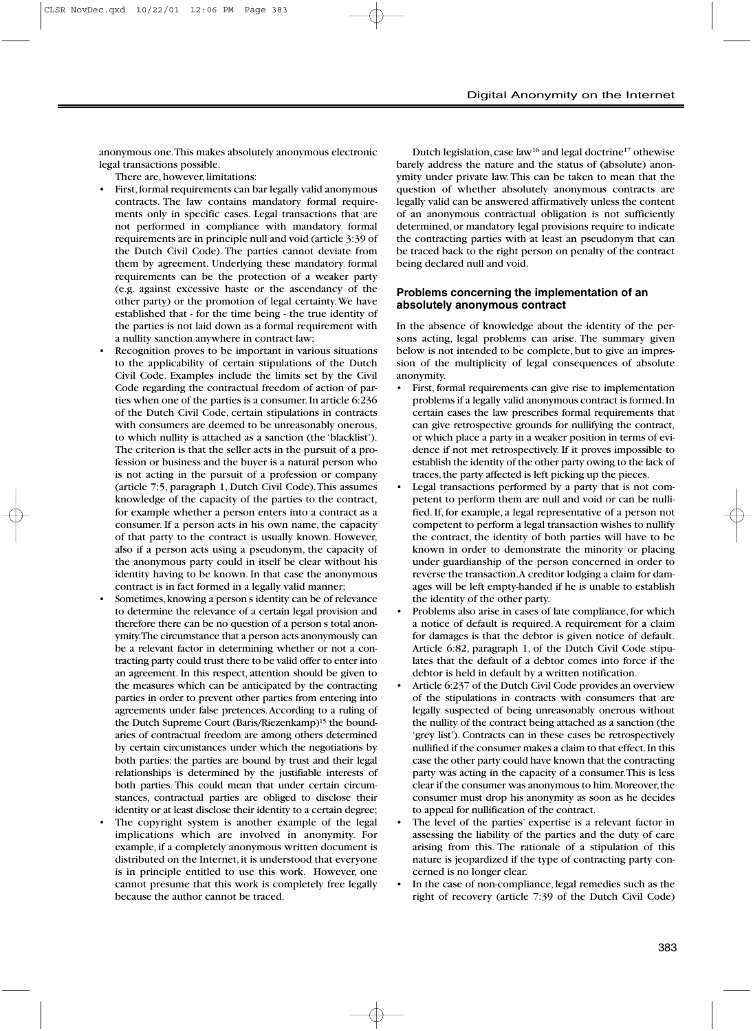anonymous one.This makes absolutely anonymous electronic legal transactions possible.

There are, however, limitations:

- First, formal requirements can bar legally valid anonymous contracts. The law contains mandatory formal requirements only in specific cases. Legal transactions that are not performed in compliance with mandatory formal requirements are in principle null and void (article 3:39 of the Dutch Civil Code). The parties cannot deviate from them by agreement. Underlying these mandatory formal requirements can be the protection of a weaker party (e.g. against excessive haste or the ascendancy of the other party) or the promotion of legal certainty.We have established that - for the time being - the true identity of the parties is not laid down as a formal requirement with a nullity sanction anywhere in contract law;
- Recognition proves to be important in various situations to the applicability of certain stipulations of the Dutch Civil Code. Examples include the limits set by the Civil Code regarding the contractual freedom of action of parties when one of the parties is a consumer.In article 6:236 of the Dutch Civil Code, certain stipulations in contracts with consumers are deemed to be unreasonably onerous. to which nullity is attached as a sanction (the 'blacklist'). The criterion is that the seller acts in the pursuit of a profession or business and the buyer is a natural person who is not acting in the pursuit of a profession or company (article 7:5, paragraph 1, Dutch Civil Code).This assumes knowledge of the capacity of the parties to the contract, for example whether a person enters into a contract as a consumer. If a person acts in his own name, the capacity of that party to the contract is usually known. However, also if a person acts using a pseudonym, the capacity of the anonymous party could in itself be clear without his identity having to be known. In that case the anonymous contract is in fact formed in a legally valid manner;
- Sometimes, knowing a person s identity can be of relevance to determine the relevance of a certain legal provision and therefore there can be no question of a person s total anonymity.The circumstance that a person acts anonymously can be a relevant factor in determining whether or not a contracting party could trust there to be valid offer to enter into an agreement. In this respect, attention should be given to the measures which can be anticipated by the contracting parties in order to prevent other parties from entering into agreements under false pretences.According to a ruling of the Dutch Supreme Court (Baris/Riezenkamp)<sup>15</sup> the boundaries of contractual freedom are among others determined by certain circumstances under which the negotiations by both parties: the parties are bound by trust and their legal relationships is determined by the justifiable interests of both parties. This could mean that under certain circumstances, contractual parties are obliged to disclose their identity or at least disclose their identity to a certain degree;
- The copyright system is another example of the legal implications which are involved in anonymity. For example, if a completely anonymous written document is distributed on the Internet, it is understood that everyone is in principle entitled to use this work. However, one cannot presume that this work is completely free legally because the author cannot be traced.

Dutch legislation, case law<sup>16</sup> and legal doctrine<sup>17</sup> othewise barely address the nature and the status of (absolute) anonymity under private law.This can be taken to mean that the question of whether absolutely anonymous contracts are legally valid can be answered affirmatively unless the content of an anonymous contractual obligation is not sufficiently determined,or mandatory legal provisions require to indicate the contracting parties with at least an pseudonym that can be traced back to the right person on penalty of the contract being declared null and void.

#### **Problems concerning the implementation of an absolutely anonymous contract**

In the absence of knowledge about the identity of the persons acting, legal problems can arise. The summary given below is not intended to be complete, but to give an impression of the multiplicity of legal consequences of absolute anonymity.

- First, formal requirements can give rise to implementation problems if a legally valid anonymous contract is formed.In certain cases the law prescribes formal requirements that can give retrospective grounds for nullifying the contract, or which place a party in a weaker position in terms of evidence if not met retrospectively. If it proves impossible to establish the identity of the other party owing to the lack of traces, the party affected is left picking up the pieces.
- Legal transactions performed by a party that is not competent to perform them are null and void or can be nullified. If, for example, a legal representative of a person not competent to perform a legal transaction wishes to nullify the contract, the identity of both parties will have to be known in order to demonstrate the minority or placing under guardianship of the person concerned in order to reverse the transaction.A creditor lodging a claim for damages will be left empty-handed if he is unable to establish the identity of the other party.
- Problems also arise in cases of late compliance, for which a notice of default is required.A requirement for a claim for damages is that the debtor is given notice of default. Article 6:82, paragraph 1, of the Dutch Civil Code stipulates that the default of a debtor comes into force if the debtor is held in default by a written notification.
- Article 6:237 of the Dutch Civil Code provides an overview of the stipulations in contracts with consumers that are legally suspected of being unreasonably onerous without the nullity of the contract being attached as a sanction (the 'grey list'). Contracts can in these cases be retrospectively nullified if the consumer makes a claim to that effect.In this case the other party could have known that the contracting party was acting in the capacity of a consumer.This is less clear if the consumer was anonymous to him. Moreover, the consumer must drop his anonymity as soon as he decides to appeal for nullification of the contract.
- The level of the parties' expertise is a relevant factor in assessing the liability of the parties and the duty of care arising from this. The rationale of a stipulation of this nature is jeopardized if the type of contracting party concerned is no longer clear.
- In the case of non-compliance, legal remedies such as the right of recovery (article 7:39 of the Dutch Civil Code)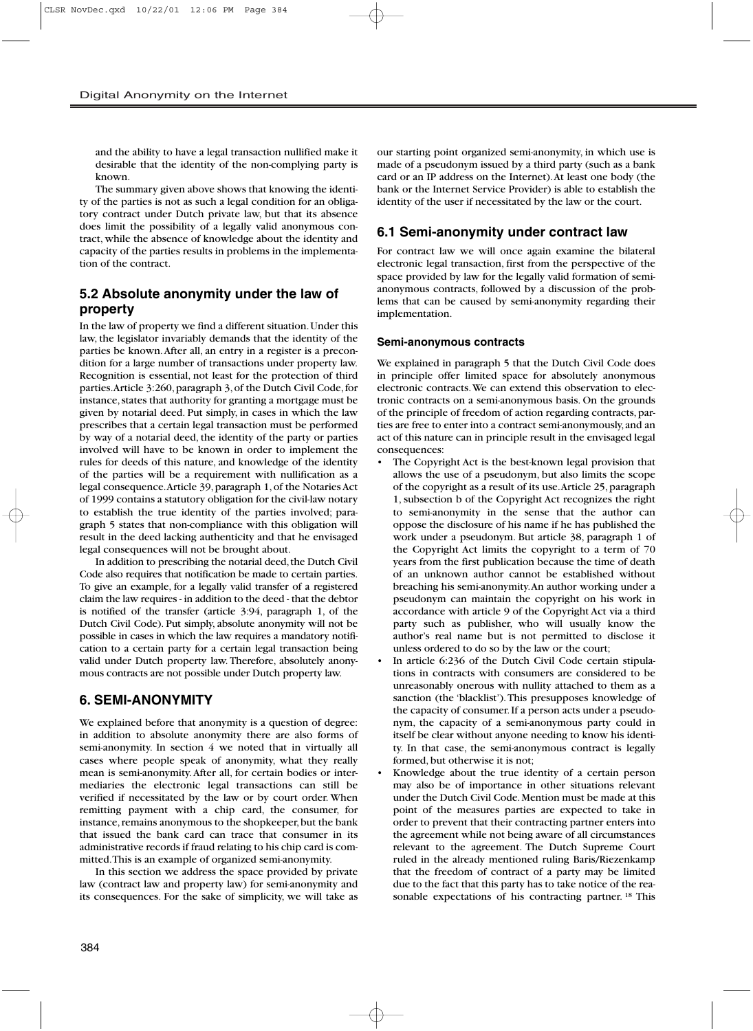and the ability to have a legal transaction nullified make it desirable that the identity of the non-complying party is known.

The summary given above shows that knowing the identity of the parties is not as such a legal condition for an obligatory contract under Dutch private law, but that its absence does limit the possibility of a legally valid anonymous contract, while the absence of knowledge about the identity and capacity of the parties results in problems in the implementation of the contract.

# **5.2 Absolute anonymity under the law of property**

In the law of property we find a different situation.Under this law, the legislator invariably demands that the identity of the parties be known.After all, an entry in a register is a precondition for a large number of transactions under property law. Recognition is essential, not least for the protection of third parties.Article 3:260, paragraph 3, of the Dutch Civil Code, for instance, states that authority for granting a mortgage must be given by notarial deed. Put simply, in cases in which the law prescribes that a certain legal transaction must be performed by way of a notarial deed, the identity of the party or parties involved will have to be known in order to implement the rules for deeds of this nature, and knowledge of the identity of the parties will be a requirement with nullification as a legal consequence.Article 39, paragraph 1, of the Notaries Act of 1999 contains a statutory obligation for the civil-law notary to establish the true identity of the parties involved; paragraph 5 states that non-compliance with this obligation will result in the deed lacking authenticity and that he envisaged legal consequences will not be brought about.

In addition to prescribing the notarial deed, the Dutch Civil Code also requires that notification be made to certain parties. To give an example, for a legally valid transfer of a registered claim the law requires - in addition to the deed - that the debtor is notified of the transfer (article 3:94, paragraph 1, of the Dutch Civil Code). Put simply, absolute anonymity will not be possible in cases in which the law requires a mandatory notification to a certain party for a certain legal transaction being valid under Dutch property law. Therefore, absolutely anonymous contracts are not possible under Dutch property law.

# **6. SEMI-ANONYMITY**

We explained before that anonymity is a question of degree: in addition to absolute anonymity there are also forms of semi-anonymity. In section 4 we noted that in virtually all cases where people speak of anonymity, what they really mean is semi-anonymity.After all, for certain bodies or intermediaries the electronic legal transactions can still be verified if necessitated by the law or by court order. When remitting payment with a chip card, the consumer, for instance, remains anonymous to the shopkeeper, but the bank that issued the bank card can trace that consumer in its administrative records if fraud relating to his chip card is committed.This is an example of organized semi-anonymity.

In this section we address the space provided by private law (contract law and property law) for semi-anonymity and its consequences. For the sake of simplicity, we will take as our starting point organized semi-anonymity, in which use is made of a pseudonym issued by a third party (such as a bank card or an IP address on the Internet).At least one body (the bank or the Internet Service Provider) is able to establish the identity of the user if necessitated by the law or the court.

# **6.1 Semi-anonymity under contract law**

For contract law we will once again examine the bilateral electronic legal transaction, first from the perspective of the space provided by law for the legally valid formation of semianonymous contracts, followed by a discussion of the problems that can be caused by semi-anonymity regarding their implementation.

#### **Semi-anonymous contracts**

We explained in paragraph 5 that the Dutch Civil Code does in principle offer limited space for absolutely anonymous electronic contracts.We can extend this observation to electronic contracts on a semi-anonymous basis. On the grounds of the principle of freedom of action regarding contracts,parties are free to enter into a contract semi-anonymously,and an act of this nature can in principle result in the envisaged legal consequences:

- The Copyright Act is the best-known legal provision that allows the use of a pseudonym, but also limits the scope of the copyright as a result of its use.Article 25, paragraph 1, subsection b of the Copyright Act recognizes the right to semi-anonymity in the sense that the author can oppose the disclosure of his name if he has published the work under a pseudonym. But article 38, paragraph 1 of the Copyright Act limits the copyright to a term of 70 years from the first publication because the time of death of an unknown author cannot be established without breaching his semi-anonymity.An author working under a pseudonym can maintain the copyright on his work in accordance with article 9 of the Copyright Act via a third party such as publisher, who will usually know the author's real name but is not permitted to disclose it unless ordered to do so by the law or the court;
- In article 6:236 of the Dutch Civil Code certain stipulations in contracts with consumers are considered to be unreasonably onerous with nullity attached to them as a sanction (the 'blacklist').This presupposes knowledge of the capacity of consumer.If a person acts under a pseudonym, the capacity of a semi-anonymous party could in itself be clear without anyone needing to know his identity. In that case, the semi-anonymous contract is legally formed, but otherwise it is not;
- Knowledge about the true identity of a certain person may also be of importance in other situations relevant under the Dutch Civil Code.Mention must be made at this point of the measures parties are expected to take in order to prevent that their contracting partner enters into the agreement while not being aware of all circumstances relevant to the agreement. The Dutch Supreme Court ruled in the already mentioned ruling Baris/Riezenkamp that the freedom of contract of a party may be limited due to the fact that this party has to take notice of the reasonable expectations of his contracting partner. <sup>18</sup> This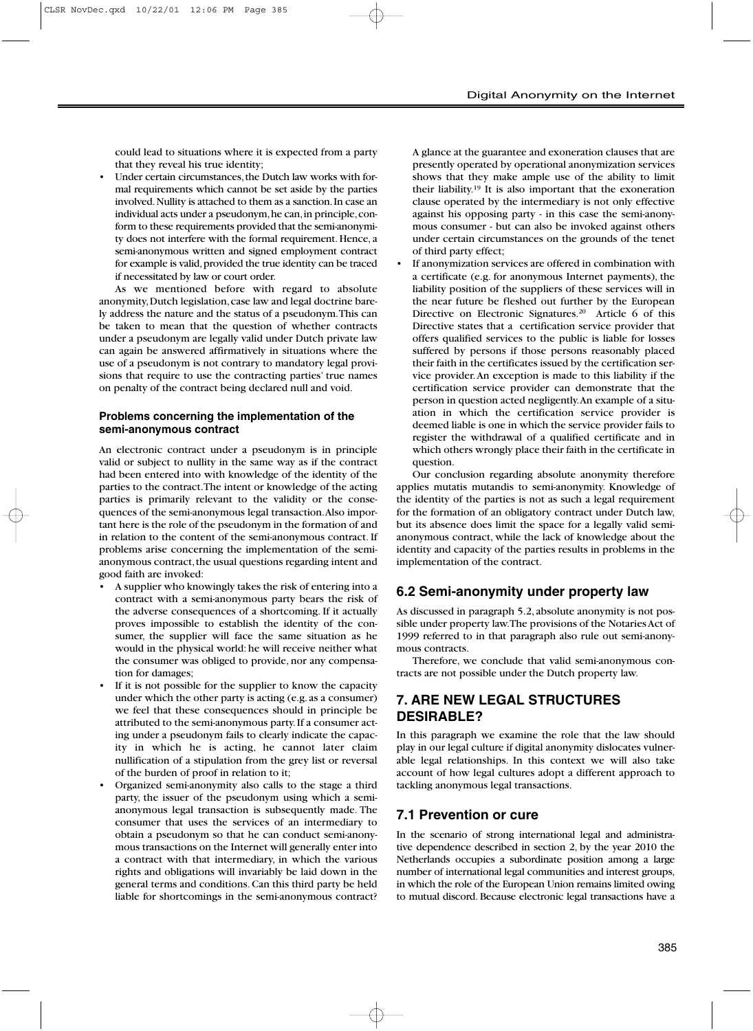could lead to situations where it is expected from a party that they reveal his true identity;

Under certain circumstances, the Dutch law works with formal requirements which cannot be set aside by the parties involved.Nullity is attached to them as a sanction.In case an individual acts under a pseudonym, he can, in principle, conform to these requirements provided that the semi-anonymity does not interfere with the formal requirement. Hence, a semi-anonymous written and signed employment contract for example is valid,provided the true identity can be traced if necessitated by law or court order.

As we mentioned before with regard to absolute anonymity,Dutch legislation,case law and legal doctrine barely address the nature and the status of a pseudonym.This can be taken to mean that the question of whether contracts under a pseudonym are legally valid under Dutch private law can again be answered affirmatively in situations where the use of a pseudonym is not contrary to mandatory legal provisions that require to use the contracting parties' true names on penalty of the contract being declared null and void.

#### **Problems concerning the implementation of the semi-anonymous contract**

An electronic contract under a pseudonym is in principle valid or subject to nullity in the same way as if the contract had been entered into with knowledge of the identity of the parties to the contract.The intent or knowledge of the acting parties is primarily relevant to the validity or the consequences of the semi-anonymous legal transaction.Also important here is the role of the pseudonym in the formation of and in relation to the content of the semi-anonymous contract. If problems arise concerning the implementation of the semianonymous contract, the usual questions regarding intent and good faith are invoked:

- A supplier who knowingly takes the risk of entering into a contract with a semi-anonymous party bears the risk of the adverse consequences of a shortcoming. If it actually proves impossible to establish the identity of the consumer, the supplier will face the same situation as he would in the physical world: he will receive neither what the consumer was obliged to provide, nor any compensation for damages;
- If it is not possible for the supplier to know the capacity under which the other party is acting (e.g. as a consumer) we feel that these consequences should in principle be attributed to the semi-anonymous party.If a consumer acting under a pseudonym fails to clearly indicate the capacity in which he is acting, he cannot later claim nullification of a stipulation from the grey list or reversal of the burden of proof in relation to it;
- Organized semi-anonymity also calls to the stage a third party, the issuer of the pseudonym using which a semianonymous legal transaction is subsequently made. The consumer that uses the services of an intermediary to obtain a pseudonym so that he can conduct semi-anonymous transactions on the Internet will generally enter into a contract with that intermediary, in which the various rights and obligations will invariably be laid down in the general terms and conditions. Can this third party be held liable for shortcomings in the semi-anonymous contract?

A glance at the guarantee and exoneration clauses that are presently operated by operational anonymization services shows that they make ample use of the ability to limit their liability.19 It is also important that the exoneration clause operated by the intermediary is not only effective against his opposing party - in this case the semi-anonymous consumer - but can also be invoked against others under certain circumstances on the grounds of the tenet of third party effect;

If anonymization services are offered in combination with a certificate (e.g. for anonymous Internet payments), the liability position of the suppliers of these services will in the near future be fleshed out further by the European Directive on Electronic Signatures.<sup>20</sup> Article 6 of this Directive states that a certification service provider that offers qualified services to the public is liable for losses suffered by persons if those persons reasonably placed their faith in the certificates issued by the certification service provider.An exception is made to this liability if the certification service provider can demonstrate that the person in question acted negligently.An example of a situation in which the certification service provider is deemed liable is one in which the service provider fails to register the withdrawal of a qualified certificate and in which others wrongly place their faith in the certificate in question.

Our conclusion regarding absolute anonymity therefore applies mutatis mutandis to semi-anonymity. Knowledge of the identity of the parties is not as such a legal requirement for the formation of an obligatory contract under Dutch law, but its absence does limit the space for a legally valid semianonymous contract, while the lack of knowledge about the identity and capacity of the parties results in problems in the implementation of the contract.

# **6.2 Semi-anonymity under property law**

As discussed in paragraph 5.2, absolute anonymity is not possible under property law.The provisions of the Notaries Act of 1999 referred to in that paragraph also rule out semi-anonymous contracts.

Therefore, we conclude that valid semi-anonymous contracts are not possible under the Dutch property law.

# **7. ARE NEW LEGAL STRUCTURES DESIRABLE?**

In this paragraph we examine the role that the law should play in our legal culture if digital anonymity dislocates vulnerable legal relationships. In this context we will also take account of how legal cultures adopt a different approach to tackling anonymous legal transactions.

## **7.1 Prevention or cure**

In the scenario of strong international legal and administrative dependence described in section 2, by the year 2010 the Netherlands occupies a subordinate position among a large number of international legal communities and interest groups, in which the role of the European Union remains limited owing to mutual discord. Because electronic legal transactions have a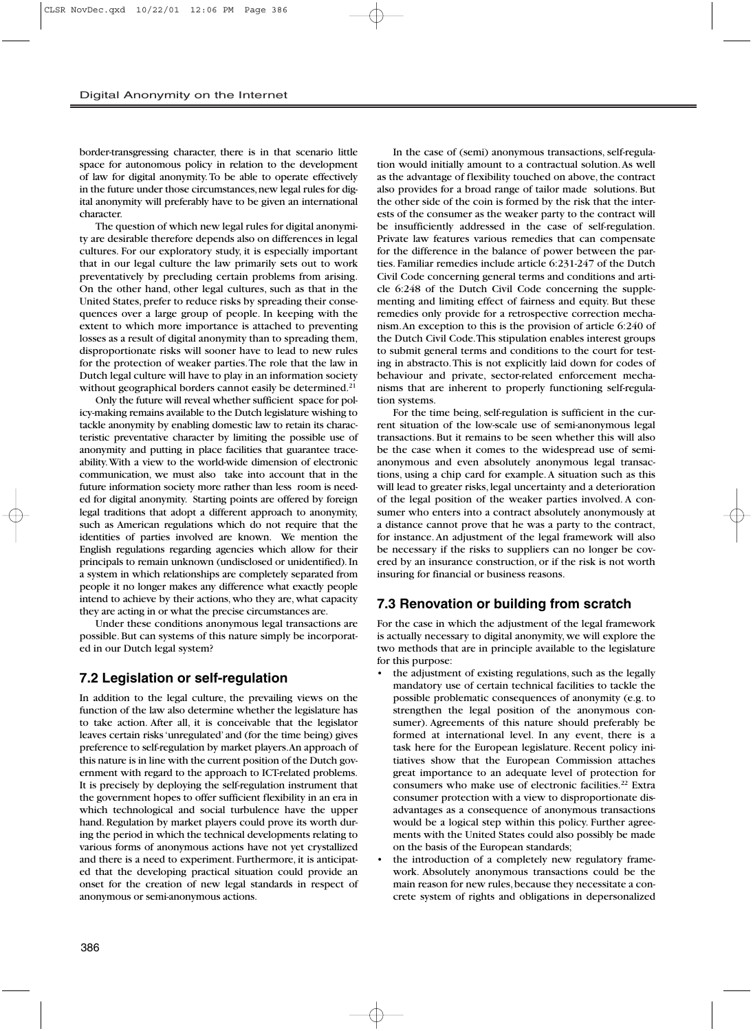border-transgressing character, there is in that scenario little space for autonomous policy in relation to the development of law for digital anonymity. To be able to operate effectively in the future under those circumstances, new legal rules for digital anonymity will preferably have to be given an international character.

The question of which new legal rules for digital anonymity are desirable therefore depends also on differences in legal cultures. For our exploratory study, it is especially important that in our legal culture the law primarily sets out to work preventatively by precluding certain problems from arising. On the other hand, other legal cultures, such as that in the United States, prefer to reduce risks by spreading their consequences over a large group of people. In keeping with the extent to which more importance is attached to preventing losses as a result of digital anonymity than to spreading them, disproportionate risks will sooner have to lead to new rules for the protection of weaker parties.The role that the law in Dutch legal culture will have to play in an information society without geographical borders cannot easily be determined.<sup>21</sup>

Only the future will reveal whether sufficient space for policy-making remains available to the Dutch legislature wishing to tackle anonymity by enabling domestic law to retain its characteristic preventative character by limiting the possible use of anonymity and putting in place facilities that guarantee traceability.With a view to the world-wide dimension of electronic communication, we must also take into account that in the future information society more rather than less room is needed for digital anonymity. Starting points are offered by foreign legal traditions that adopt a different approach to anonymity, such as American regulations which do not require that the identities of parties involved are known. We mention the English regulations regarding agencies which allow for their principals to remain unknown (undisclosed or unidentified).In a system in which relationships are completely separated from people it no longer makes any difference what exactly people intend to achieve by their actions, who they are, what capacity they are acting in or what the precise circumstances are.

Under these conditions anonymous legal transactions are possible. But can systems of this nature simply be incorporated in our Dutch legal system?

# **7.2 Legislation or self-regulation**

In addition to the legal culture, the prevailing views on the function of the law also determine whether the legislature has to take action. After all, it is conceivable that the legislator leaves certain risks 'unregulated' and (for the time being) gives preference to self-regulation by market players.An approach of this nature is in line with the current position of the Dutch government with regard to the approach to ICT-related problems. It is precisely by deploying the self-regulation instrument that the government hopes to offer sufficient flexibility in an era in which technological and social turbulence have the upper hand. Regulation by market players could prove its worth during the period in which the technical developments relating to various forms of anonymous actions have not yet crystallized and there is a need to experiment. Furthermore, it is anticipated that the developing practical situation could provide an onset for the creation of new legal standards in respect of anonymous or semi-anonymous actions.

In the case of (semi) anonymous transactions, self-regulation would initially amount to a contractual solution.As well as the advantage of flexibility touched on above, the contract also provides for a broad range of tailor made solutions. But the other side of the coin is formed by the risk that the interests of the consumer as the weaker party to the contract will be insufficiently addressed in the case of self-regulation. Private law features various remedies that can compensate for the difference in the balance of power between the parties. Familiar remedies include article 6:231-247 of the Dutch Civil Code concerning general terms and conditions and article 6:248 of the Dutch Civil Code concerning the supplementing and limiting effect of fairness and equity. But these remedies only provide for a retrospective correction mechanism.An exception to this is the provision of article 6:240 of the Dutch Civil Code.This stipulation enables interest groups to submit general terms and conditions to the court for testing in abstracto.This is not explicitly laid down for codes of behaviour and private, sector-related enforcement mechanisms that are inherent to properly functioning self-regulation systems.

For the time being, self-regulation is sufficient in the current situation of the low-scale use of semi-anonymous legal transactions. But it remains to be seen whether this will also be the case when it comes to the widespread use of semianonymous and even absolutely anonymous legal transactions, using a chip card for example.A situation such as this will lead to greater risks, legal uncertainty and a deterioration of the legal position of the weaker parties involved. A consumer who enters into a contract absolutely anonymously at a distance cannot prove that he was a party to the contract, for instance. An adjustment of the legal framework will also be necessary if the risks to suppliers can no longer be covered by an insurance construction, or if the risk is not worth insuring for financial or business reasons.

# **7.3 Renovation or building from scratch**

For the case in which the adjustment of the legal framework is actually necessary to digital anonymity, we will explore the two methods that are in principle available to the legislature for this purpose:

- the adjustment of existing regulations, such as the legally mandatory use of certain technical facilities to tackle the possible problematic consequences of anonymity (e.g. to strengthen the legal position of the anonymous consumer). Agreements of this nature should preferably be formed at international level. In any event, there is a task here for the European legislature. Recent policy initiatives show that the European Commission attaches great importance to an adequate level of protection for consumers who make use of electronic facilities.<sup>22</sup> Extra consumer protection with a view to disproportionate disadvantages as a consequence of anonymous transactions would be a logical step within this policy. Further agreements with the United States could also possibly be made on the basis of the European standards;
- the introduction of a completely new regulatory framework. Absolutely anonymous transactions could be the main reason for new rules,because they necessitate a concrete system of rights and obligations in depersonalized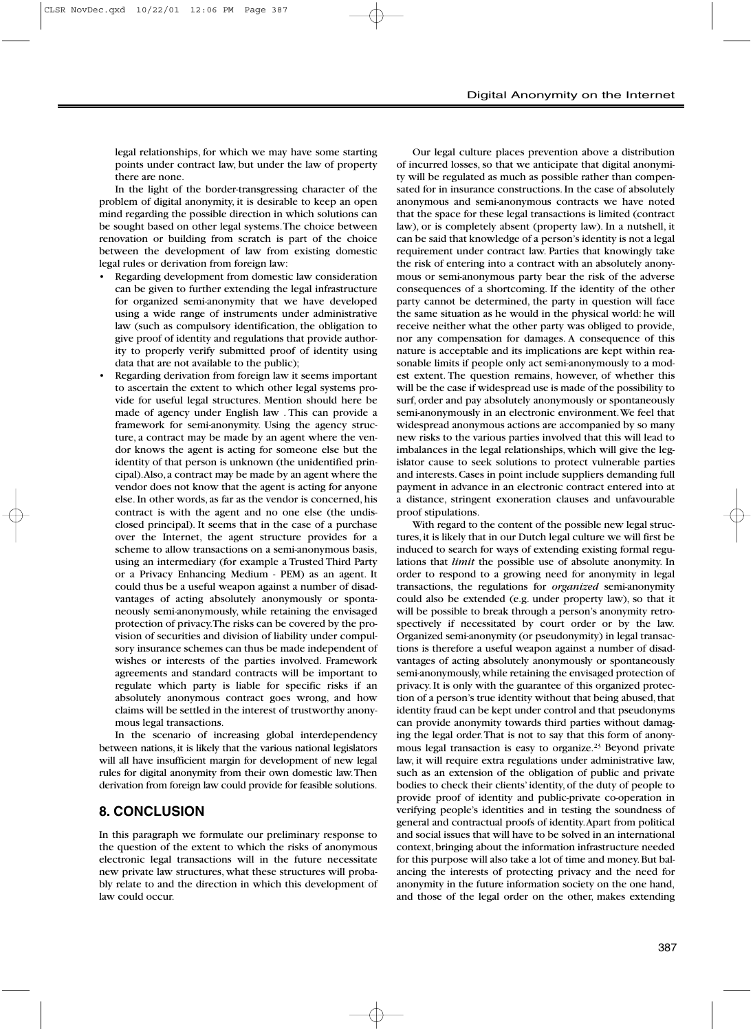legal relationships, for which we may have some starting points under contract law, but under the law of property there are none.

In the light of the border-transgressing character of the problem of digital anonymity, it is desirable to keep an open mind regarding the possible direction in which solutions can be sought based on other legal systems.The choice between renovation or building from scratch is part of the choice between the development of law from existing domestic legal rules or derivation from foreign law:

- Regarding development from domestic law consideration can be given to further extending the legal infrastructure for organized semi-anonymity that we have developed using a wide range of instruments under administrative law (such as compulsory identification, the obligation to give proof of identity and regulations that provide authority to properly verify submitted proof of identity using data that are not available to the public);
- Regarding derivation from foreign law it seems important to ascertain the extent to which other legal systems provide for useful legal structures. Mention should here be made of agency under English law . This can provide a framework for semi-anonymity. Using the agency structure, a contract may be made by an agent where the vendor knows the agent is acting for someone else but the identity of that person is unknown (the unidentified principal).Also,a contract may be made by an agent where the vendor does not know that the agent is acting for anyone else. In other words, as far as the vendor is concerned, his contract is with the agent and no one else (the undisclosed principal). It seems that in the case of a purchase over the Internet, the agent structure provides for a scheme to allow transactions on a semi-anonymous basis, using an intermediary (for example a Trusted Third Party or a Privacy Enhancing Medium - PEM) as an agent. It could thus be a useful weapon against a number of disadvantages of acting absolutely anonymously or spontaneously semi-anonymously, while retaining the envisaged protection of privacy.The risks can be covered by the provision of securities and division of liability under compulsory insurance schemes can thus be made independent of wishes or interests of the parties involved. Framework agreements and standard contracts will be important to regulate which party is liable for specific risks if an absolutely anonymous contract goes wrong, and how claims will be settled in the interest of trustworthy anonymous legal transactions.

In the scenario of increasing global interdependency between nations, it is likely that the various national legislators will all have insufficient margin for development of new legal rules for digital anonymity from their own domestic law.Then derivation from foreign law could provide for feasible solutions.

## **8. CONCLUSION**

In this paragraph we formulate our preliminary response to the question of the extent to which the risks of anonymous electronic legal transactions will in the future necessitate new private law structures, what these structures will probably relate to and the direction in which this development of law could occur.

Our legal culture places prevention above a distribution of incurred losses, so that we anticipate that digital anonymity will be regulated as much as possible rather than compensated for in insurance constructions. In the case of absolutely anonymous and semi-anonymous contracts we have noted that the space for these legal transactions is limited (contract law), or is completely absent (property law). In a nutshell, it can be said that knowledge of a person's identity is not a legal requirement under contract law. Parties that knowingly take the risk of entering into a contract with an absolutely anonymous or semi-anonymous party bear the risk of the adverse consequences of a shortcoming. If the identity of the other party cannot be determined, the party in question will face the same situation as he would in the physical world: he will receive neither what the other party was obliged to provide, nor any compensation for damages. A consequence of this nature is acceptable and its implications are kept within reasonable limits if people only act semi-anonymously to a modest extent. The question remains, however, of whether this will be the case if widespread use is made of the possibility to surf, order and pay absolutely anonymously or spontaneously semi-anonymously in an electronic environment.We feel that widespread anonymous actions are accompanied by so many new risks to the various parties involved that this will lead to imbalances in the legal relationships, which will give the legislator cause to seek solutions to protect vulnerable parties and interests. Cases in point include suppliers demanding full payment in advance in an electronic contract entered into at a distance, stringent exoneration clauses and unfavourable proof stipulations.

With regard to the content of the possible new legal structures, it is likely that in our Dutch legal culture we will first be induced to search for ways of extending existing formal regulations that *limit* the possible use of absolute anonymity. In order to respond to a growing need for anonymity in legal transactions, the regulations for *organized* semi-anonymity could also be extended (e.g. under property law), so that it will be possible to break through a person's anonymity retrospectively if necessitated by court order or by the law. Organized semi-anonymity (or pseudonymity) in legal transactions is therefore a useful weapon against a number of disadvantages of acting absolutely anonymously or spontaneously semi-anonymously,while retaining the envisaged protection of privacy. It is only with the guarantee of this organized protection of a person's true identity without that being abused, that identity fraud can be kept under control and that pseudonyms can provide anonymity towards third parties without damaging the legal order.That is not to say that this form of anonymous legal transaction is easy to organize.<sup>23</sup> Beyond private law, it will require extra regulations under administrative law, such as an extension of the obligation of public and private bodies to check their clients' identity, of the duty of people to provide proof of identity and public-private co-operation in verifying people's identities and in testing the soundness of general and contractual proofs of identity.Apart from political and social issues that will have to be solved in an international context,bringing about the information infrastructure needed for this purpose will also take a lot of time and money.But balancing the interests of protecting privacy and the need for anonymity in the future information society on the one hand, and those of the legal order on the other, makes extending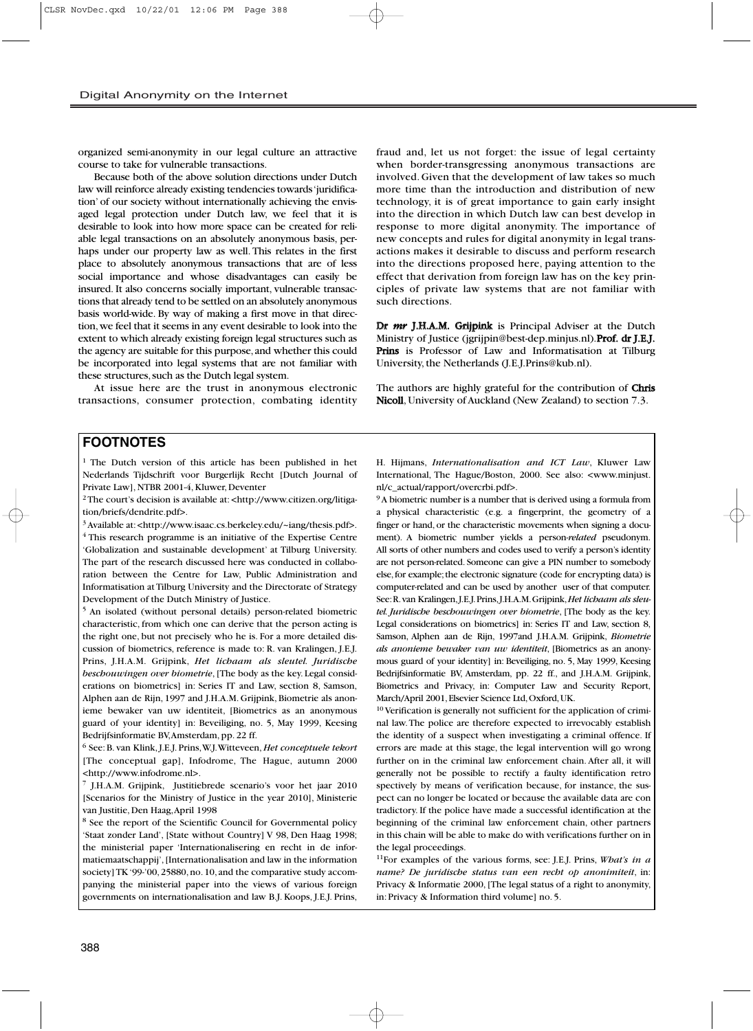organized semi-anonymity in our legal culture an attractive course to take for vulnerable transactions.

Because both of the above solution directions under Dutch law will reinforce already existing tendencies towards 'juridification' of our society without internationally achieving the envisaged legal protection under Dutch law, we feel that it is desirable to look into how more space can be created for reliable legal transactions on an absolutely anonymous basis, perhaps under our property law as well. This relates in the first place to absolutely anonymous transactions that are of less social importance and whose disadvantages can easily be insured. It also concerns socially important, vulnerable transactions that already tend to be settled on an absolutely anonymous basis world-wide. By way of making a first move in that direction,we feel that it seems in any event desirable to look into the extent to which already existing foreign legal structures such as the agency are suitable for this purpose,and whether this could be incorporated into legal systems that are not familiar with these structures, such as the Dutch legal system.

At issue here are the trust in anonymous electronic transactions, consumer protection, combating identity fraud and, let us not forget: the issue of legal certainty when border-transgressing anonymous transactions are involved. Given that the development of law takes so much more time than the introduction and distribution of new technology, it is of great importance to gain early insight into the direction in which Dutch law can best develop in response to more digital anonymity. The importance of new concepts and rules for digital anonymity in legal transactions makes it desirable to discuss and perform research into the directions proposed here, paying attention to the effect that derivation from foreign law has on the key principles of private law systems that are not familiar with such directions.

Dr *mr* J.H.A.M. Grijpink is Principal Adviser at the Dutch Ministry of Justice (jgrijpin@best-dep.minjus.nl).Prof. dr J.E.J. Prins is Professor of Law and Informatisation at Tilburg University, the Netherlands (J.E.J.Prins@kub.nl).

The authors are highly grateful for the contribution of **Chris** Nicoll, University of Auckland (New Zealand) to section 7.3.

# **FOOTNOTES**

<sup>1</sup> The Dutch version of this article has been published in het Nederlands Tijdschrift voor Burgerlijk Recht [Dutch Journal of Private Law], NTBR 2001-4, Kluwer, Deventer

<sup>2</sup> The court's decision is available at: <http://www.citizen.org/litigation/briefs/dendrite.pdf>.

3Available at:<http://www.isaac.cs.berkeley.edu/~iang/thesis.pdf>. <sup>4</sup> This research programme is an initiative of the Expertise Centre 'Globalization and sustainable development' at Tilburg University. The part of the research discussed here was conducted in collaboration between the Centre for Law, Public Administration and Informatisation at Tilburg University and the Directorate of Strategy Development of the Dutch Ministry of Justice.

<sup>5</sup> An isolated (without personal details) person-related biometric characteristic, from which one can derive that the person acting is the right one, but not precisely who he is. For a more detailed discussion of biometrics, reference is made to: R. van Kralingen, J.E.J. Prins, J.H.A.M. Grijpink, *Het lichaam als sleutel. Juridische beschouwingen over biometrie*, [The body as the key. Legal considerations on biometrics] in: Series IT and Law, section 8, Samson, Alphen aan de Rijn, 1997 and J.H.A.M. Grijpink, Biometrie als anonieme bewaker van uw identiteit, [Biometrics as an anonymous guard of your identity] in: Beveiliging, no. 5, May 1999, Keesing Bedrijfsinformatie BV,Amsterdam, pp. 22 ff.

<sup>6</sup> See: B. van Klink, J.E.J. Prins,W.J.Witteveen, *Het conceptuele tekort* [The conceptual gap], Infodrome, The Hague, autumn 2000 <http://www.infodrome.nl>.

<sup>7</sup> J.H.A.M. Grijpink, Justitiebrede scenario's voor het jaar 2010 [Scenarios for the Ministry of Justice in the year 2010], Ministerie van Justitie, Den Haag,April 1998

<sup>8</sup> See the report of the Scientific Council for Governmental policy 'Staat zonder Land', [State without Country] V 98, Den Haag 1998; the ministerial paper 'Internationalisering en recht in de informatiemaatschappij',[Internationalisation and law in the information society] TK '99-'00, 25880, no. 10, and the comparative study accompanying the ministerial paper into the views of various foreign governments on internationalisation and law B.J. Koops, J.E.J. Prins,

H. Hijmans, *Internationalisation and ICT Law*, Kluwer Law International, The Hague/Boston, 2000. See also: <www.minjust. nl/c\_actual/rapport/overcrbi.pdf>.

 $9A$  biometric number is a number that is derived using a formula from a physical characteristic (e.g. a fingerprint, the geometry of a finger or hand, or the characteristic movements when signing a document). A biometric number yields a person-*related* pseudonym. All sorts of other numbers and codes used to verify a person's identity are not person-related. Someone can give a PIN number to somebody else, for example; the electronic signature (code for encrypting data) is computer-related and can be used by another user of that computer. See:R.van Kralingen,J.E.J.Prins,J.H.A.M.Grijpink,*Het lichaam als sleutel. Juridische beschouwingen over biometrie*, [The body as the key. Legal considerations on biometrics] in: Series IT and Law, section 8, Samson, Alphen aan de Rijn, 1997and J.H.A.M. Grijpink, *Biometrie als anonieme bewaker van uw identiteit*, [Biometrics as an anonymous guard of your identity] in: Beveiliging, no. 5, May 1999, Keesing Bedrijfsinformatie BV, Amsterdam, pp. 22 ff., and J.H.A.M. Grijpink, Biometrics and Privacy, in: Computer Law and Security Report, March/April 2001,Elsevier Science Ltd,Oxford,UK.

<sup>10</sup> Verification is generally not sufficient for the application of criminal law.The police are therefore expected to irrevocably establish the identity of a suspect when investigating a criminal offence. If errors are made at this stage, the legal intervention will go wrong further on in the criminal law enforcement chain. After all, it will generally not be possible to rectify a faulty identification retro spectively by means of verification because, for instance, the suspect can no longer be located or because the available data are con tradictory. If the police have made a successful identification at the beginning of the criminal law enforcement chain, other partners in this chain will be able to make do with verifications further on in the legal proceedings.

11For examples of the various forms, see: J.E.J. Prins, *What's in a name? De juridische status van een recht op anonimiteit*, in: Privacy & Informatie 2000, [The legal status of a right to anonymity, in: Privacy & Information third volume] no. 5.